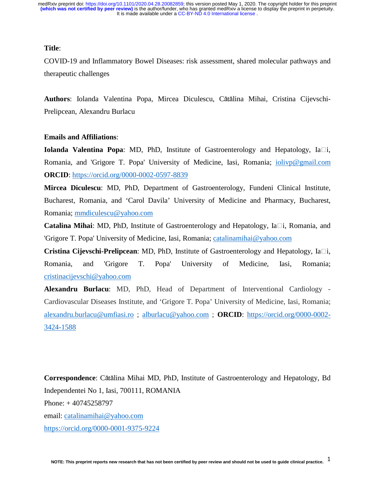# **Title**:

COVID-19 and Inflammatory Bowel Diseases: risk assessment, shared molecular pathways and therapeutic challenges

**Authors**: Iolanda Valentina Popa, Mircea Diculescu, Cătălina Mihai, Cristina Cijevschi-Prelipcean, Alexandru Burlacu

## **Emails and Affiliations**:

**Iolanda Valentina Popa**: MD, PhD, Institute of Gastroenterology and Hepatology, Ia<sup>[1]</sup>, Romania, and 'Grigore T. Popa' University of Medicine, Iasi, Romania; iolivp@gmail.com **ORCID**: https://orcid.org/0000-0002-0597-8839

**Mircea Diculescu**: MD, PhD, Department of Gastroenterology, Fundeni Clinical Institute, Bucharest, Romania, and 'Carol Davila' University of Medicine and Pharmacy, Bucharest, Romania; mmdiculescu@yahoo.com

**Catalina Mihai**: MD, PhD, Institute of Gastroenterology and Hepatology, Ia□i, Romania, and 'Grigore T. Popa' University of Medicine, Iasi, Romania; catalinamihai@yahoo.com

**Cristina Cijevschi-Prelipcean**: MD, PhD, Institute of Gastroenterology and Hepatology, Ia□i, Romania, and 'Grigore T. Popa' University of Medicine, Iasi, Romania; cristinacijevschi@yahoo.com

**Alexandru Burlacu**: MD, PhD, Head of Department of Interventional Cardiology - Cardiovascular Diseases Institute, and 'Grigore T. Popa' University of Medicine, Iasi, Romania; alexandru.burlacu@umfiasi.ro ; alburlacu@yahoo.com ; **ORCID**: https://orcid.org/0000-0002- 3424-1588

**Correspondence**: Cătălina Mihai MD, PhD, Institute of Gastroenterology and Hepatology, Bd Independentei No 1, Iasi, 700111, ROMANIA Phone: + 40745258797 email: catalinamihai@yahoo.com https://orcid.org/0000-0001-9375-9224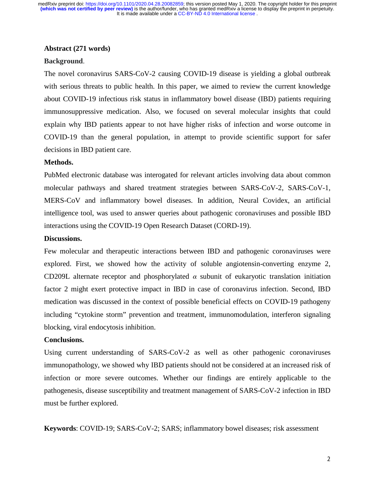## **Abstract (271 words)**

### **Background**.

The novel coronavirus SARS-CoV-2 causing COVID-19 disease is yielding a global outbreak with serious threats to public health. In this paper, we aimed to review the current knowledge about COVID-19 infectious risk status in inflammatory bowel disease (IBD) patients requiring immunosuppressive medication. Also, we focused on several molecular insights that could explain why IBD patients appear to not have higher risks of infection and worse outcome in COVID-19 than the general population, in attempt to provide scientific support for safer decisions in IBD patient care.

# **Methods.**

PubMed electronic database was interogated for relevant articles involving data about common molecular pathways and shared treatment strategies between SARS-CoV-2, SARS-CoV-1, MERS-CoV and inflammatory bowel diseases. In addition, Neural Covidex, an artificial intelligence tool, was used to answer queries about pathogenic coronaviruses and possible IBD interactions using the COVID-19 Open Research Dataset (CORD-19).

# **Discussions.**

Few molecular and therapeutic interactions between IBD and pathogenic coronaviruses were explored. First, we showed how the activity of soluble angiotensin-converting enzyme 2, CD209L alternate receptor and phosphorylated  $\alpha$  subunit of eukaryotic translation initiation factor 2 might exert protective impact in IBD in case of coronavirus infection. Second, IBD medication was discussed in the context of possible beneficial effects on COVID-19 pathogeny including "cytokine storm" prevention and treatment, immunomodulation, interferon signaling blocking, viral endocytosis inhibition.

## **Conclusions.**

Using current understanding of SARS-CoV-2 as well as other pathogenic coronaviruses immunopathology, we showed why IBD patients should not be considered at an increased risk of infection or more severe outcomes. Whether our findings are entirely applicable to the pathogenesis, disease susceptibility and treatment management of SARS-CoV-2 infection in IBD must be further explored.

**Keywords**: COVID-19; SARS-CoV-2; SARS; inflammatory bowel diseases; risk assessment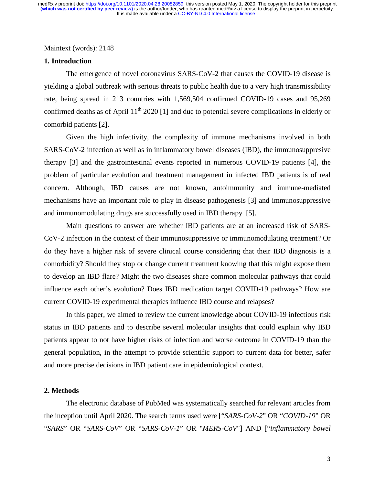Maintext (words): 2148

## **1. Introduction**

The emergence of novel coronavirus SARS-CoV-2 that causes the COVID-19 disease is yielding a global outbreak with serious threats to public health due to a very high transmissibility rate, being spread in 213 countries with 1,569,504 confirmed COVID-19 cases and 95,269 confirmed deaths as of April  $11<sup>th</sup> 2020$  [1] and due to potential severe complications in elderly or comorbid patients [2].

Given the high infectivity, the complexity of immune mechanisms involved in both SARS-CoV-2 infection as well as in inflammatory bowel diseases (IBD), the immunosuppresive therapy [3] and the gastrointestinal events reported in numerous COVID-19 patients [4], the problem of particular evolution and treatment management in infected IBD patients is of real concern. Although, IBD causes are not known, autoimmunity and immune-mediated mechanisms have an important role to play in disease pathogenesis [3] and immunosuppressive and immunomodulating drugs are successfully used in IBD therapy [5].

Main questions to answer are whether IBD patients are at an increased risk of SARS-CoV-2 infection in the context of their immunosuppressive or immunomodulating treatment? Or do they have a higher risk of severe clinical course considering that their IBD diagnosis is a comorbidity? Should they stop or change current treatment knowing that this might expose them to develop an IBD flare? Might the two diseases share common molecular pathways that could influence each other's evolution? Does IBD medication target COVID-19 pathways? How are current COVID-19 experimental therapies influence IBD course and relapses?

In this paper, we aimed to review the current knowledge about COVID-19 infectious risk status in IBD patients and to describe several molecular insights that could explain why IBD patients appear to not have higher risks of infection and worse outcome in COVID-19 than the general population, in the attempt to provide scientific support to current data for better, safer and more precise decisions in IBD patient care in epidemiological context.

# **2. Methods**

The electronic database of PubMed was systematically searched for relevant articles from the inception until April 2020. The search terms used were ["*SARS-CoV-2*" OR "*COVID-19*" OR "*SARS*" OR "*SARS-CoV*" OR "*SARS-CoV-1*" OR "*MERS-CoV*"] AND ["*inflammatory bowel*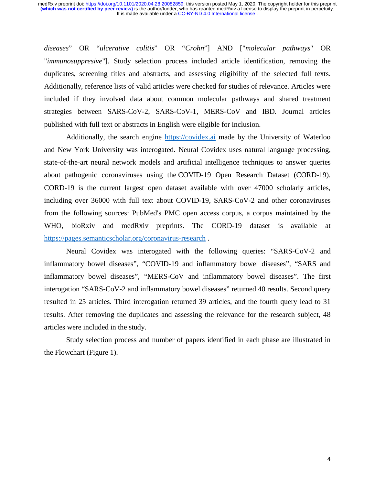*diseases*" OR "*ulcerative colitis*" OR "*Crohn*"] AND ["*molecular pathways*" OR "*immunosuppresive*"]. Study selection process included article identification, removing the duplicates, screening titles and abstracts, and assessing eligibility of the selected full texts. Additionally, reference lists of valid articles were checked for studies of relevance. Articles were included if they involved data about common molecular pathways and shared treatment strategies between SARS-CoV-2, SARS-CoV-1, MERS-CoV and IBD. Journal articles published with full text or abstracts in English were eligible for inclusion.

Additionally, the search engine https://covidex.ai made by the University of Waterloo and New York University was interogated. Neural Covidex uses natural language processing, state-of-the-art neural network models and artificial intelligence techniques to answer queries about pathogenic coronaviruses using the COVID-19 Open Research Dataset (CORD-19). CORD-19 is the current largest open dataset available with over 47000 scholarly articles, including over 36000 with full text about COVID-19, SARS-CoV-2 and other coronaviruses from the following sources: PubMed's PMC open access corpus, a corpus maintained by the WHO, bioRxiv and medRxiv preprints. The CORD-19 dataset is available at https://pages.semanticscholar.org/coronavirus-research .

Neural Covidex was interogated with the following queries: "SARS-CoV-2 and inflammatory bowel diseases", "COVID-19 and inflammatory bowel diseases", "SARS and inflammatory bowel diseases", "MERS-CoV and inflammatory bowel diseases". The first interogation "SARS-CoV-2 and inflammatory bowel diseases" returned 40 results. Second query resulted in 25 articles. Third interogation returned 39 articles, and the fourth query lead to 31 results. After removing the duplicates and assessing the relevance for the research subject, 48 articles were included in the study.

Study selection process and number of papers identified in each phase are illustrated in the Flowchart (Figure 1).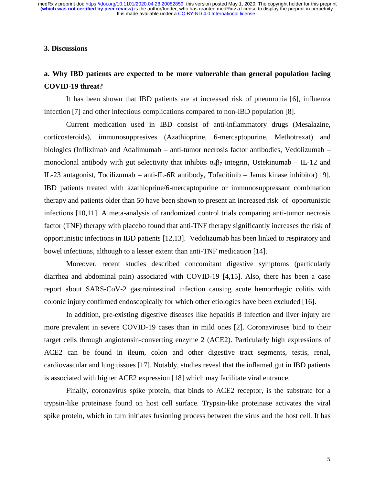# **3. Discussions**

# **a. Why IBD patients are expected to be more vulnerable than general population facing COVID-19 threat?**

It has been shown that IBD patients are at increased risk of pneumonia [6], influenza infection [7] and other infectious complications compared to non-IBD population [8].

Current medication used in IBD consist of anti-inflammatory drugs (Mesalazine, corticosteroids), immunosuppresives (Azathioprine, 6-mercaptopurine, Methotrexat) and biologics (Infliximab and Adalimumab – anti-tumor necrosis factor antibodies, Vedolizumab – monoclonal antibody with gut selectivity that inhibits  $\alpha_4\beta_7$  integrin, Ustekinumab – IL-12 and IL-23 antagonist, Tocilizumab – anti-IL-6R antibody, Tofacitinib – Janus kinase inhibitor) [9]. IBD patients treated with azathioprine/6-mercaptopurine or immunosuppressant combination therapy and patients older than 50 have been shown to present an increased risk of opportunistic infections [10,11]. A meta-analysis of randomized control trials comparing anti-tumor necrosis factor (TNF) therapy with placebo found that anti-TNF therapy significantly increases the risk of opportunistic infections in IBD patients [12,13]. Vedolizumab has been linked to respiratory and bowel infections, although to a lesser extent than anti-TNF medication [14].

Moreover, recent studies described concomitant digestive symptoms (particularly diarrhea and abdominal pain) associated with COVID-19 [4,15]. Also, there has been a case report about SARS-CoV-2 gastrointestinal infection causing acute hemorrhagic colitis with colonic injury confirmed endoscopically for which other etiologies have been excluded [16].

In addition, pre-existing digestive diseases like hepatitis B infection and liver injury are more prevalent in severe COVID-19 cases than in mild ones [2]. Coronaviruses bind to their target cells through angiotensin-converting enzyme 2 (ACE2). Particularly high expressions of ACE2 can be found in ileum, colon and other digestive tract segments, testis, renal, cardiovascular and lung tissues [17]. Notably, studies reveal that the inflamed gut in IBD patients is associated with higher ACE2 expression [18] which may facilitate viral entrance.

Finally, coronavirus spike protein, that binds to ACE2 receptor, is the substrate for a trypsin-like proteinase found on host cell surface. Trypsin-like proteinase activates the viral spike protein, which in turn initiates fusioning process between the virus and the host cell. It has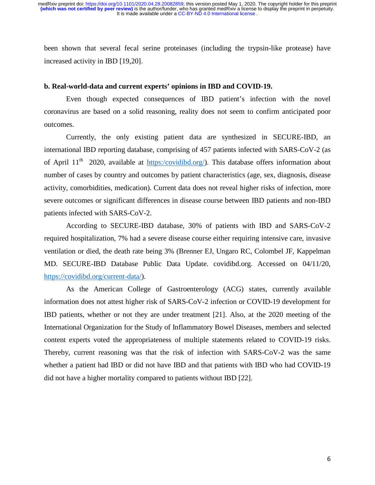been shown that several fecal serine proteinases (including the trypsin-like protease) have increased activity in IBD [19,20].

### **b. Real-world-data and current experts' opinions in IBD and COVID-19.**

Even though expected consequences of IBD patient's infection with the novel coronavirus are based on a solid reasoning, reality does not seem to confirm anticipated poor outcomes.

Currently, the only existing patient data are synthesized in SECURE-IBD, an international IBD reporting database, comprising of 457 patients infected with SARS-CoV-2 (as of April  $11<sup>th</sup>$  2020, available at https:/covidibd.org/). This database offers information about number of cases by country and outcomes by patient characteristics (age, sex, diagnosis, disease activity, comorbidities, medication). Current data does not reveal higher risks of infection, more severe outcomes or significant differences in disease course between IBD patients and non-IBD patients infected with SARS-CoV-2.

According to SECURE-IBD database, 30% of patients with IBD and SARS-CoV-2 required hospitalization, 7% had a severe disease course either requiring intensive care, invasive ventilation or died, the death rate being 3% (Brenner EJ, Ungaro RC, Colombel JF, Kappelman MD. SECURE-IBD Database Public Data Update. covidibd.org. Accessed on 04/11/20, https://covidibd.org/current-data/).

As the American College of Gastroenterology (ACG) states, currently available information does not attest higher risk of SARS-CoV-2 infection or COVID-19 development for IBD patients, whether or not they are under treatment [21]. Also, at the 2020 meeting of the International Organization for the Study of Inflammatory Bowel Diseases, members and selected content experts voted the appropriateness of multiple statements related to COVID-19 risks. Thereby, current reasoning was that the risk of infection with SARS-CoV-2 was the same whether a patient had IBD or did not have IBD and that patients with IBD who had COVID-19 did not have a higher mortality compared to patients without IBD [22].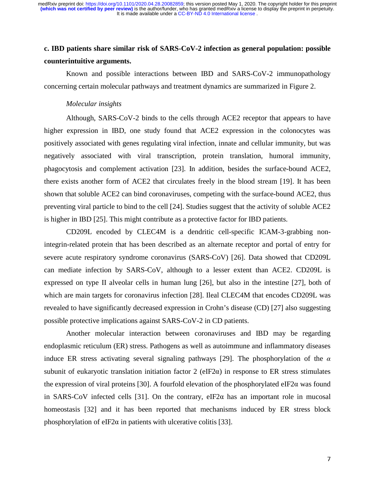# **c. IBD patients share similar risk of SARS-CoV-2 infection as general population: possible counterintuitive arguments.**

Known and possible interactions between IBD and SARS-CoV-2 immunopathology concerning certain molecular pathways and treatment dynamics are summarized in Figure 2.

## *Molecular insights*

Although, SARS-CoV-2 binds to the cells through ACE2 receptor that appears to have higher expression in IBD, one study found that ACE2 expression in the colonocytes was positively associated with genes regulating viral infection, innate and cellular immunity, but was negatively associated with viral transcription, protein translation, humoral immunity, phagocytosis and complement activation [23]. In addition, besides the surface-bound ACE2, there exists another form of ACE2 that circulates freely in the blood stream [19]. It has been shown that soluble ACE2 can bind coronaviruses, competing with the surface-bound ACE2, thus preventing viral particle to bind to the cell [24]. Studies suggest that the activity of soluble ACE2 is higher in IBD [25]. This might contribute as a protective factor for IBD patients.

CD209L encoded by CLEC4M is a dendritic cell-specific ICAM-3-grabbing nonintegrin-related protein that has been described as an alternate receptor and portal of entry for severe acute respiratory syndrome coronavirus (SARS-CoV) [26]. Data showed that CD209L can mediate infection by SARS-CoV, although to a lesser extent than ACE2. CD209L is expressed on type II alveolar cells in human lung [26], but also in the intestine [27], both of which are main targets for coronavirus infection [28]. Ileal CLEC4M that encodes CD209L was revealed to have significantly decreased expression in Crohn's disease (CD) [27] also suggesting possible protective implications against SARS-CoV-2 in CD patients.

Another molecular interaction between coronaviruses and IBD may be regarding endoplasmic reticulum (ER) stress. Pathogens as well as autoimmune and inflammatory diseases induce ER stress activating several signaling pathways [29]. The phosphorylation of the  $\alpha$ subunit of eukaryotic translation initiation factor 2 (eIF2 $\alpha$ ) in response to ER stress stimulates the expression of viral proteins [30]. A fourfold elevation of the phosphorylated eIF2 $\alpha$  was found in SARS-CoV infected cells [31]. On the contrary, eIF2 $\alpha$  has an important role in mucosal homeostasis [32] and it has been reported that mechanisms induced by ER stress block phosphorylation of eIF2 $\alpha$  in patients with ulcerative colitis [33].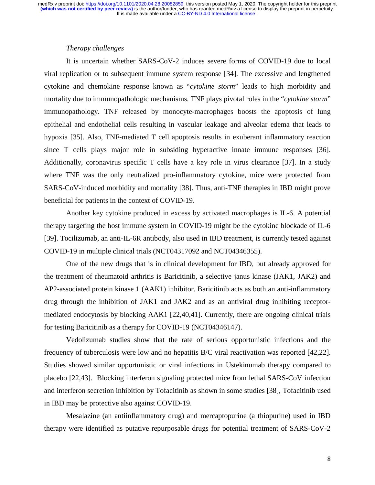# *Therapy challenges*

It is uncertain whether SARS-CoV-2 induces severe forms of COVID-19 due to local viral replication or to subsequent immune system response [34]. The excessive and lengthened cytokine and chemokine response known as "*cytokine storm*" leads to high morbidity and mortality due to immunopathologic mechanisms. TNF plays pivotal roles in the "*cytokine storm*" immunopathology. TNF released by monocyte-macrophages boosts the apoptosis of lung epithelial and endothelial cells resulting in vascular leakage and alveolar edema that leads to hypoxia [35]. Also, TNF-mediated T cell apoptosis results in exuberant inflammatory reaction since T cells plays major role in subsiding hyperactive innate immune responses [36]. Additionally, coronavirus specific T cells have a key role in virus clearance [37]. In a study where TNF was the only neutralized pro-inflammatory cytokine, mice were protected from SARS-CoV-induced morbidity and mortality [38]. Thus, anti-TNF therapies in IBD might prove beneficial for patients in the context of COVID-19.

Another key cytokine produced in excess by activated macrophages is IL-6. A potential therapy targeting the host immune system in COVID-19 might be the cytokine blockade of IL-6 [39]. Tocilizumab, an anti-IL-6R antibody, also used in IBD treatment, is currently tested against COVID-19 in multiple clinical trials (NCT04317092 and NCT04346355).

One of the new drugs that is in clinical development for IBD, but already approved for the treatment of rheumatoid arthritis is Baricitinib, a selective janus kinase (JAK1, JAK2) and AP2-associated protein kinase 1 (AAK1) inhibitor. Baricitinib acts as both an anti-inflammatory drug through the inhibition of JAK1 and JAK2 and as an antiviral drug inhibiting receptormediated endocytosis by blocking AAK1 [22,40,41]. Currently, there are ongoing clinical trials for testing Baricitinib as a therapy for COVID-19 (NCT04346147).

Vedolizumab studies show that the rate of serious opportunistic infections and the frequency of tuberculosis were low and no hepatitis B/C viral reactivation was reported [42,22]. Studies showed similar opportunistic or viral infections in Ustekinumab therapy compared to placebo [22,43]. Blocking interferon signaling protected mice from lethal SARS-CoV infection and interferon secretion inhibition by Tofacitinib as shown in some studies [38], Tofacitinib used in IBD may be protective also against COVID-19.

Mesalazine (an antiinflammatory drug) and mercaptopurine (a thiopurine) used in IBD therapy were identified as putative repurposable drugs for potential treatment of SARS-CoV-2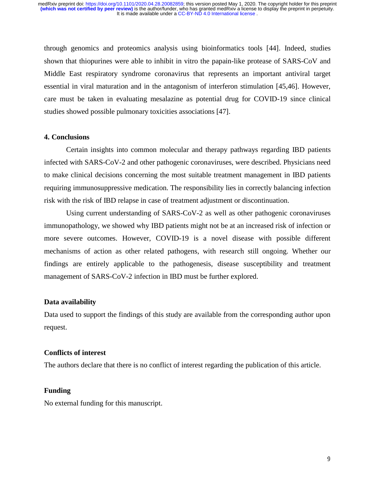through genomics and proteomics analysis using bioinformatics tools [44]. Indeed, studies shown that thiopurines were able to inhibit in vitro the papain-like protease of SARS-CoV and Middle East respiratory syndrome coronavirus that represents an important antiviral target essential in viral maturation and in the antagonism of interferon stimulation [45,46]. However, care must be taken in evaluating mesalazine as potential drug for COVID-19 since clinical studies showed possible pulmonary toxicities associations [47].

## **4. Conclusions**

Certain insights into common molecular and therapy pathways regarding IBD patients infected with SARS-CoV-2 and other pathogenic coronaviruses, were described. Physicians need to make clinical decisions concerning the most suitable treatment management in IBD patients requiring immunosuppressive medication. The responsibility lies in correctly balancing infection risk with the risk of IBD relapse in case of treatment adjustment or discontinuation.

Using current understanding of SARS-CoV-2 as well as other pathogenic coronaviruses immunopathology, we showed why IBD patients might not be at an increased risk of infection or more severe outcomes. However, COVID-19 is a novel disease with possible different mechanisms of action as other related pathogens, with research still ongoing. Whether our findings are entirely applicable to the pathogenesis, disease susceptibility and treatment management of SARS-CoV-2 infection in IBD must be further explored.

#### **Data availability**

Data used to support the findings of this study are available from the corresponding author upon request.

## **Conflicts of interest**

The authors declare that there is no conflict of interest regarding the publication of this article.

## **Funding**

No external funding for this manuscript.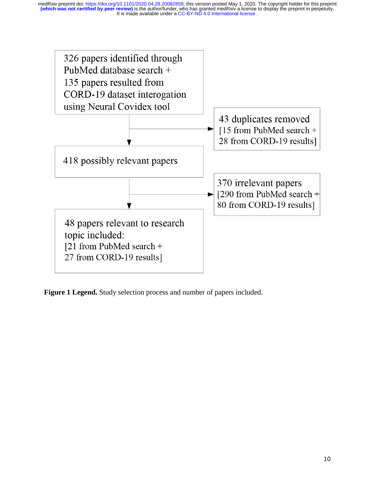

**Figure 1 Legend.** Study selection process and number of papers included.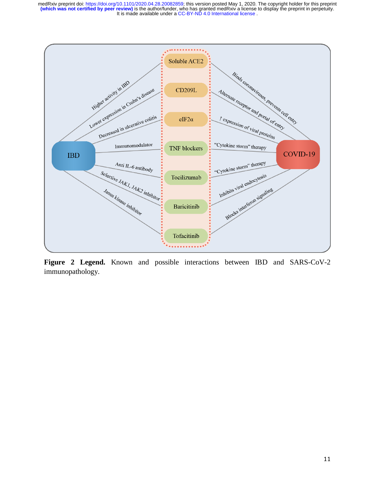

**Figure 2 Legend.** Known and possible interactions between IBD and SARS-CoV-2 immunopathology.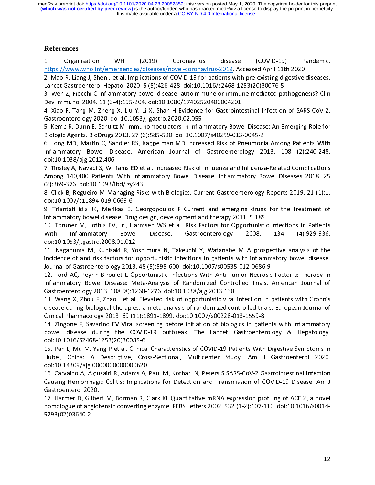It is made available under a CC-BY-ND 4.0 International license. **(which was not certified by peer review)** is the author/funder, who has granted medRxiv a license to display the preprint in perpetuity. medRxiv preprint doi: [https://doi.org/10.1101/2020.04.28.20082859;](https://doi.org/10.1101/2020.04.28.20082859) this version posted May 1, 2020. The copyright holder for this preprint

# **References**

https://www.who.int/emergencies/diseases/novel-coronavirus-2019. Accessed April 11th 2020<br>2. Mao R, Liang J, Shen J et al. Implications of COVID-19 for patients with pre-existing digestive diseases. https://www.who.intps://www.who.intps://www.who.intps://www.who.intps://www.who.intps://www.who.intps://www.who.intps://www.coronavirus-2019.<br>Lancet Gastroenterol Hepatol 2020. 5 (5):426-428. doi:10.1016/s2468-1253(20)3007 2. March, Liang J, Lichter D, March, 1982.<br>Lancet Gastroenterol Hepatol 2020. 5 (5):426-428. doi:10.1016/s2468-1253(20)30076-5<br>3. Wen Z, Fiocchi C Inflammatory bowel disease: autoimmune or immune-mediated pathogenesis? Cli

Lancet Gastroenterol Hepatol 2020. 1999. 1999. 2020. 2020. 1999. 2020. 5 (5): 100.<br>3. Wen Z, Fiocchi C Inflammatory bowel disease: autoimmune or immune-mediated pa<br>Dev Immunol 2004. 11 (3-4):195-204. doi:10.1080/1740252040 Dev Immunol 2004. 11 (3-4):195-204. doi:10.1080/17402520400004201<br>4. Xiao F, Tang M, Zheng X, Liu Y, Li X, Shan H Evidence for Gastrointestinal Infection of SARS-CoV-2.

4. Xiao F, Tang M, Zheng X, Liu Y, Li X, Shan H Evidence for Gastrointe<br>Gastroenterology 2020. doi:10.1053/j.gastro.2020.02.055 Gastroenterology 2020. doi:10.1053/j.gastro.2020.02.055<br>5. Kemp R, Dunn E, Schultz M Immunomodulators in Inflammatory Bowel Disease: An Emerging Role for

Biologic Agents. BioDrugs 2013. 27 (6):585-590. doi:10.1007/s40259-013-0045-2

6. Long MD, Martin C, Sandler RS, Kappelman MD Increased Risk of Pneumonia Among Patients With یں ہے۔<br>6. Long MD, Martin C, Sandler RS, Kappelman MD Increased Risk of Pneumoni<br>Inflammatory Bowel Disease. American Journal of Gastroenterology 20 Inflammatory Bowel Disease. American Journal of Gastroenterology 2013. 108 (2):240-248.<br>doi:10.1038/ajg.2012.406 doi:10.1038/ajg.2012.406<br>7. Tinsley A, Navabi S, Williams ED et al. Increased Risk of Influenza and Influenza-Related Complications

-----------,-,<sub>00</sub><br>7. Tinsley A, Navabi S, Will<br>Among 140,480 Patients 7. Times, 140,480 Patients With Inflammatory Bowel Disease. Inflammatory Bowel Diseases 2018. 25<br>Among 140,480 Patients With Inflammatory Bowel Disease. Inflammatory Bowel Diseases 2018. 25<br>(2):369-376. doi:10.1093/ibd/izy (2):369-376. doi:10.1093/ibd/izy243<br>8. Click B, Regueiro M Managing Risks with Biologics. Current Gastroenterology Reports 2019. 21 (1):1.

、<br>8. Click B, Regueiro M Managing Ris<br>doi:10.1007/s11894-019-0669-6 doi:10.1007/s11894-019-0669-6<br>9. Triantafillidis JK, Merikas E, Georgopoulos F Current and emerging drugs for the treatment of

doi:10.1007/s11894-019-0669-6 9. Triandamental in, Merikas E, Georgopoulo Farroum and the analysing 1995.<br>10. Toruner M, Loftus EV, Jr., Harmsen WS et al. Risk Factors for Opportunistic Infections in Patients

ing to the match of the reason of the Torunes of Comportunisting. 10. Torunes in the Vitto design. 2008.<br>2008. The extrapsion of the Missage. The Sastroenterology 2008. With Inflammatory Bowel Disease. Gastroenterology 2008. 134 (4):929-936.<br>doi:10.1053/j.gastro.2008.01.012 doi:10.1053/j.gastro.2008.01.012<br>11. Naganuma M, Kunisaki R, Yoshimura N, Takeuchi Y, Watanabe M A prospective analysis of the

doi:<br>11. Naganuma M, Kunisaki R, Yo<br>incidence of and risk factors for o incidence of and risk factors for opportunistic infections in patients with inflammatory bowel disease.<br>Journal of Gastroenterology 2013, 48 (5):595-600, doi:10.1007/s00535-012-0686-9 Journal of Gastroenterology 2013. 48 (5):595-600. doi:10.1007/s00535-012-0686-9<br>12. Ford AC, Peyrin-Biroulet L Opportunistic Infections With Anti-Tumor Necrosis Factor-α Therapy in

12. Ford AC, Peyrin-Biroulet L Opportunistic Infections With Anti-Tumor Necrosis<br>Inflammatory Bowel Disease: Meta-Analysis of Randomized Controlled Trials. . Inflammatory Bowel Disease: Meta-Analysis of Randomized Controlled Trials. American Journal of Gastroenterology 2013. 108 (8):1268-1276. doi:10.1038/aig.2013.138 Inflammatory Bowel Discusse: Meta-Analysis of Philosofies.<br>Gastroenterology 2013. 108 (8):1268-1276. doi:10.1038/ajg.2013.138<br>13. Wang X, Zhou F, Zhao J et al. Elevated risk of opportunistic viral infection in patients wit

The Women Charles Charles Constant Charles Charles Charles Charles Charles Charles Charles Charles Charles Charl<br>disease during biological therapies: a meta analysis of randomized cor disease during biological therapies: a meta analysis of randomized controlled trials. European Journal of Clinical Pharmacology 2013. 69 (11):1891-1899. doi:10.1007/s00228-013-1559-8 Clinical Pharmacology 2013. 69 (11):1891-1899. doi:10.1007/s00228-013-1559-8<br>14. Zingone F, Savarino EV Viral screening before initiation of biologics in patients with inflammatory

14. Zingone F, Savarino EV Viral screening before initiation of biologics in pational<br>bowel disease during the COVID-19 outbreak. The Lancet Gastroenter bowel disease during the COVID-19 outbreak. The Lancet Gastroenterology & Hepatology.<br>doi:10.1016/S2468-1253(20)30085-6

15. Pan L, Mu M, Yang P et al. Clinical Characteristics of COVID-19 Patients With Digestive Symptoms in 15. Pan L, Mu M, Yang P<sup>`</sup>et al. Clinica<br>Hubei, China: A Descriptive, Cro Hubei, China: A Descriptive, Cross-Sectional, Multicenter Study. Am J Gastroenterol 2020.<br>doi:10.14309/ajg.0000000000000620 doi:10.14309/ajg.0000000000000620<br>16. Carvalho A, Algusairi R, Adams A, Paul M, Kothari N, Peters S SARS-CoV-2 Gastrointestinal Infection

and doite, and doited in the care of the Carvalho A, Alqusairi R, Adams A,<br>Causing Hemorrhagic Colitis: Implicat 16. Carvalho A, Alquestinal, Adams A, Paul M, Adams A, Peters S Sant Peters S Sant Microsoftham Infection<br>Causing Hemorrhagic Colitis: Implications for Detection and Transmission of COVID-19 Disease. Am J<br>Gastroenterol 202 Gastroenterol 2020.<br>Gastroenterol 2020.<br>17. Harmer D, Gilbert M, Borman R, Clark KL Quantitative mRNA expression profiling of ACE 2, a novel

17. Harmer D, Gilbe<mark>r</mark><br>homologue of angiot homologue of angiotensin converting enzyme. FEBS Letters 2002. 532 (1-2):107-110. doi:10.1016/s0014-<br>5793(02)03640-2 homologue of angiotensin converting enzyme. The additional convertibility and the converting of the converting<br>5793(02)03640-2 5793(02)03640-2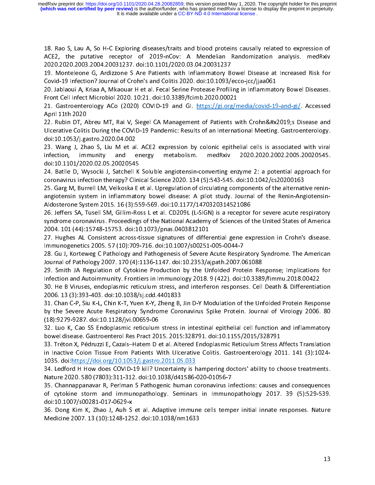It is made available under a CC-BY-ND 4.0 International license. **(which was not certified by peer review)** is the author/funder, who has granted medRxiv a license to display the preprint in perpetuity. medRxiv preprint doi: [https://doi.org/10.1101/2020.04.28.20082859;](https://doi.org/10.1101/2020.04.28.20082859) this version posted May 1, 2020. The copyright holder for this preprint

18. Rao S, Lau A, So H-C Exploring diseases/traits and blood proteins causally related to expression of ACE2, the putative receptor of 2019-nCov: A Mendelian Randomization analysis. medRxiv 2020.2020.2003.2004.20031237. do

19. Monteleone G, Ardizzone S Are Patients with Inflammatory Bowel Disease at Increased Risk for Covid-19 Infection? Journal of Crohn's and Colitis 2020. doi:10.1093/ecco-jcc/jjaa061

Covid-19 Infection? Journal of Crohn's and Colitis 2020. doi:10.1093/ecco-jcc/jjaa061<br>20. Jablaoui A, Kriaa A, Mkaouar H et al. Fecal Serine Protease Profiling in Inflammatory Bowel Diseases.<br>Front Cell Infect Microbiol 20 20. Jablaoui A, Kriaa A, Mkaouar H et al. Fecal Serine Protease Profiling in Inflammatory Bowel Diseases.

From Castroenterology ACo (2020) COVID-19 and Gl. https://gi.org/n<br>21. Gastroenterology ACo (2020) COVID-19 and Gl. https://gi.org/n April 11th 2020<br>22. Rubin DT, Abreu MT, Rai V, Siegel CA Management of Patients with Crohn&#x2019;s Disease and

.<br>22. Rubin DT, A<br>Ulcerative Coliti: Ulcerative Colitis During the COVID-19 Pandemic: Results of an International Meeting. Gastroenterology.<br>doi:10.1053/j.gastro.2020.04.002 Ulcerative Colitis During Colitis During the Colitis During the Colitis Original Meeting. Colitis Original Me<br>19 Pandemic: Results of an International Meeting. An International Meeting. Gastroenterology.<br>23 During J., Zhao

23. Wang J, Zhao S, Liu M et al<br>23. Wang J, Zhao S, Liu M et al<br>infection, immunity and e infection, immunity and energy metabolism. medRxiv 2020.2020.2002.2005.20020545.<br>doi:10.1101/2020.02.05.20020545 doi:10.1101/2020.02.05.20020545<br>24. Batlle D, Wysocki J, Satchell K Soluble angiotensin-converting enzyme 2: a potential approach for

and battle D, Wysocki J, Satchell K<br>24. Batlle D, Wysocki J, Satchell K<br>coronavirus infection therapy? Clini 24. Batle D, Wysocki D, Saturnal Childre anglessed. 134 (5):543-545. doi:10.1042/cs20200163<br>coronavirus infection therapy? Clinical Science 2020. 134 (5):543-545. doi:10.1042/cs20200163<br>25. Garg M, Burrell LM, Velkoska E e

coronavirus infection therapy? Clinical Science 2020. 2020. 134 (2020). 2020. 134 (5):543-545. 2020. 134 (5):<br>25. Garg M, Burrell LM, Velkoska E et al. Upregulation of circulating components of the alternati<br>angiotensin sy Aldosterone System 2015. 16 (3):559-569. doi:10.1177/1470320314521086

angivensing by computed in the renin-Angle disease: A pilot study. In the receptor for severe acute respiratory<br>26. Jeffers SA, Tusell SM, Gillim-Ross L et al. CD209L (L-SIGN) is a receptor for severe acute respiratory<br>syn syndrome coronavirus. Proceedings of the National Academy of Sciences of the United States of America<br>2004. 101 (44):15748-15753. doi:10.1073/pnas.0403812101

27. Hughes AL Consistent across-tissue signatures of differential gene expression in Crohn's disease. Immunogenetics 2005. 57 (10):709-716. doi:10.1007/s00251-005-0044-7 27. Hughes AL Consistent across-tissue signatures of differential gene expression in Crohn's disease.<br>Immunogenetics 2005. 57 (10):709-716. doi:10.1007/s00251-005-0044-7<br>28. Gu J, Korteweg C Pathology and Pathogenesis of S

ں<br>28. Gu J, Korteweg C Pathology and Pathogenesis of Severe Acute Respir<br>Journal of Pathology 2007. 170 (4):1136-1147. doi:10.2353/ajpath.2007.0 Journal of Pathology 2007. 170 (4):1136-1147. doi:10.2353/ajpath.2007.061088<br>29. Smith JA Regulation of Cytokine Production by the Unfolded Protein Response; Implications for

Journal of Cytokine Production by the Unfolded Protein Res<br>Infection and Autoimmunity. Frontiers in Immunology 2018. 9 (422). doi:10.3389 20. Smith JA Regulation of Cytomics in Indianal a.g., 2018. 9 (422). doi:10.3389/fimmu.2018.00422<br>Infection and Autoimmunity. Frontiers in Immunology 2018. 9 (422). doi:10.3389/fimmu.2018.00422<br>30. He B Viruses, endoplasmi

30. He B Viruses, endoplasmic reticulum stress, and interferon responses. Cell Death & Differentiation 2006. 13 (3):393-403. doi:10.1038/sj.cdd.4401833 2006. 13 (3):393-403. doi:10.1038/sj.cdd.4401833<br>31. Chan C-P, Siu K-L, Chin K-T, Yuen K-Y, Zheng B, Jin D-Y Modulation of the Unfolded Protein Response

31. Chan C-P, Siu K-L, Chin K-T, Yuen K-Y, Zheng B,<br>by the Severe Acute Respiratory Syndrome Corc by the Severe Acute Respiratory Syndrome Coronavirus Spike Protein. Journal of Virology 2006. 80<br>(18):9279-9287. doi:10.1128/jvi.00659-06 by the Severe Acute Respiratory Syndrome Coronavirus Spike Protein. Journal of Virology 2006. 2006.<br>[18] 9279-9287. doi:10.1128/jvi.00659-06<br>32. Luo K, Cao SS Endoplasmic reticulum stress in intestinal epithelial cell func

(18):1128. doi:10.1128. and 19.129. doi:10.1128. doi:10.1128. doi:10.1128. doi:10.1128. doi:10.1128. doi:10.11<br>10.129. doi:10.1128. doi:10.1128. doi:10.1128. doi:10.128. doi:10.128. doi:10.128. doi:10.128. doi:10.1128. do bowel disease. Gastroenterol Res Pract 2015. 2015:328791. doi:10.1155/2015/328791<br>33. Tréton X, Pédruzzi E, Cazals–Hatem D et al. Altered Endoplasmic Reticulum Stress Affects Translation

33. Tréton X, Pédruzzi E, Cazals–Hatem D et al. Altered Endoplasmic Reticulum Stress A<br>in Inactive Colon Tissue From Patients With Ulcerative Colitis. Gastroenterology 20 in Inactive Colon Tissue From Patients With Ulcerative Colitis. Gastroenterology 2011. 141 (3):1024-<br>1035. doi:<u>https://doi.org/10.1053/j.gastro.2011.05.033</u> 1035. doi: https://doi.org/10.1053/j.gastro.2011.05.033<br>34. Ledford H How does COVID-19 kill? Uncertainty is hampering doctors' ability to choose treatments.

Nature 2020. 580 (7803):311-312. doi:10.1038/d41586-020-01056-7

35. Channappanavar R, Perlman S Pathogenic human coronavirus infections: causes and consequences 35. Channappanavar R, Perlman S Pathogenic human coronavirus in<br>of cytokine storm and immunopathology. Seminars in Immuno of cytokine storm and immunopathology. Seminars in Immunopathology 2017. 39 (5):529-539.<br>doi:10.1007/s00281-017-0629-x doi:10.1007/s00281-017-0629-x<br>36. Dong Kim K, Zhao J, Auh S et al. Adaptive immune cells temper initial innate responses. Nature

an and Dong Kim K, Zhao J, Auh S<br>36. Dong Kim K, Zhao J, Auh S<br>Medicine 2007. 13 (10):1248-125  $36.$  Dong  $2007. 13$  (10):1248-1252. doi:10.1038/nm1633 Medicine 2007. 13 (10):1248-1252. doi:10.1038/nm1633